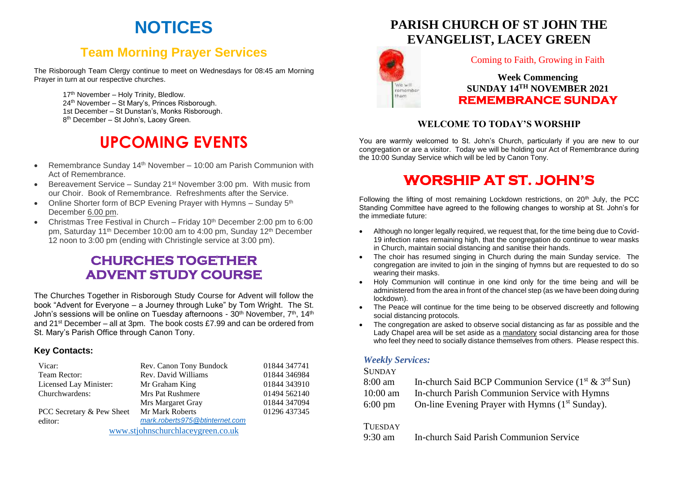# **NOTICES**

## **Team Morning Prayer Services**

The Risborough Team Clergy continue to meet on Wednesdays for 08:45 am Morning Prayer in turn at our respective churches.

> 17<sup>th</sup> November – Holy Trinity, Bledlow. 24th November – St Mary's, Princes Risborough. 1st December – St Dunstan's, Monks Risborough. 8 th December – St John's, Lacey Green.

# **UPCOMING EVENTS**

- Remembrance Sunday 14<sup>th</sup> November 10:00 am Parish Communion with Act of Remembrance.
- Bereavement Service Sunday  $21<sup>st</sup>$  November 3:00 pm. With music from our Choir. Book of Remembrance. Refreshments after the Service.
- Online Shorter form of BCP Evening Prayer with Hymns  $-$  Sunday  $5<sup>th</sup>$ December 6.00 pm.
- Christmas Tree Festival in Church Friday  $10<sup>th</sup>$  December 2:00 pm to 6:00 pm, Saturday 11<sup>th</sup> December 10:00 am to 4:00 pm, Sunday 12<sup>th</sup> December 12 noon to 3:00 pm (ending with Christingle service at 3:00 pm).

## **CHURCHES TOGETHER ADVENT STUDY COURSE**

The Churches Together in Risborough Study Course for Advent will follow the book "Advent for Everyone – a Journey through Luke" by Tom Wright. The St. John's sessions will be online on Tuesday afternoons - 30<sup>th</sup> November, 7<sup>th</sup>, 14<sup>th</sup> and 21st December – all at 3pm. The book costs £7.99 and can be ordered from St. Mary's Parish Office through Canon Tony.

#### **Key Contacts:**

| Vicar:                            | Rev. Canon Tony Bundock        | 01844 347741 |
|-----------------------------------|--------------------------------|--------------|
| Team Rector:                      | Rev. David Williams            | 01844 346984 |
| Licensed Lay Minister:            | Mr Graham King                 | 01844 343910 |
| Churchwardens:                    | <b>Mrs Pat Rushmere</b>        | 01494 562140 |
|                                   | Mrs Margaret Gray              | 01844 347094 |
| PCC Secretary & Pew Sheet         | Mr Mark Roberts                | 01296 437345 |
| editor:                           | mark.roberts975@btinternet.com |              |
| www.stjohnschurchlaceygreen.co.uk |                                |              |

**PARISH CHURCH OF ST JOHN THE EVANGELIST, LACEY GREEN**



#### Coming to Faith, Growing in Faith

**Week Commencing SUNDAY 14TH NOVEMBER 2021 REMEMBRANCE SUNDAY** 

#### **WELCOME TO TODAY'S WORSHIP**

You are warmly welcomed to St. John's Church, particularly if you are new to our congregation or are a visitor. Today we will be holding our Act of Remembrance during the 10:00 Sunday Service which will be led by Canon Tony.

## **WORSHIP AT ST. JOHN'S**

Following the lifting of most remaining Lockdown restrictions, on  $20<sup>th</sup>$  July, the PCC Standing Committee have agreed to the following changes to worship at St. John's for the immediate future:

- Although no longer legally required, we request that, for the time being due to Covid-19 infection rates remaining high, that the congregation do continue to wear masks in Church, maintain social distancing and sanitise their hands.
- The choir has resumed singing in Church during the main Sunday service. The congregation are invited to join in the singing of hymns but are requested to do so wearing their masks.
- Holy Communion will continue in one kind only for the time being and will be administered from the area in front of the chancel step (as we have been doing during lockdown).
- The Peace will continue for the time being to be observed discreetly and following social distancing protocols.
- The congregation are asked to observe social distancing as far as possible and the Lady Chapel area will be set aside as a mandatory social distancing area for those who feel they need to socially distance themselves from others. Please respect this.

#### *Weekly Services:*

#### **SUNDAY**

| 8:00 am            | In-church Said BCP Communion Service $(1st \& 3rd Sun)$     |
|--------------------|-------------------------------------------------------------|
| $10:00 \text{ am}$ | In-church Parish Communion Service with Hymns               |
| $6:00 \text{ pm}$  | On-line Evening Prayer with Hymns (1 <sup>st</sup> Sunday). |

#### **TUESDAY**

9:30 am In-church Said Parish Communion Service